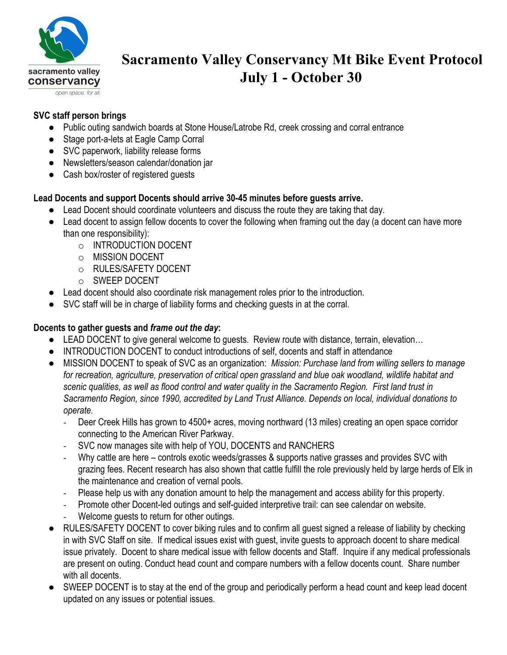

# **Sacramento Valley Conservancy Mt Bike Event Protocol July 1 - October 30**

# **SVC staff person brings**

- Public outing sandwich boards at Stone House/Latrobe Rd, creek crossing and corral entrance
- Stage port-a-lets at Eagle Camp Corral
- SVC paperwork, liability release forms
- Newsletters/season calendar/donation jar
- Cash box/roster of registered guests

## **Lead Docents and support Docents should arrive 30-45 minutes before guests arrive.**

- Lead Docent should coordinate volunteers and discuss the route they are taking that day.
- Lead docent to assign fellow docents to cover the following when framing out the day (a docent can have more than one responsibility):
	- o INTRODUCTION DOCENT
	- o MISSION DOCENT
	- o RULES/SAFETY DOCENT
	- o SWEEP DOCENT
- Lead docent should also coordinate risk management roles prior to the introduction.
- SVC staff will be in charge of liability forms and checking guests in at the corral.

#### **Docents to gather guests and** *frame out the day***:**

- LEAD DOCENT to give general welcome to guests. Review route with distance, terrain, elevation...
- INTRODUCTION DOCENT to conduct introductions of self, docents and staff in attendance
- MISSION DOCENT to speak of SVC as an organization: *Mission: Purchase land from willing sellers to manage for recreation, agriculture, preservation of critical open grassland and blue oak woodland, wildlife habitat and scenic qualities, as well as flood control and water quality in the Sacramento Region. First land trust in Sacramento Region, since 1990, accredited by Land Trust Alliance. Depends on local, individual donations to operate.*
	- Deer Creek Hills has grown to 4500+ acres, moving northward (13 miles) creating an open space corridor connecting to the American River Parkway.
	- SVC now manages site with help of YOU, DOCENTS and RANCHERS
	- Why cattle are here controls exotic weeds/grasses & supports native grasses and provides SVC with grazing fees. Recent research has also shown that cattle fulfill the role previously held by large herds of Elk in the maintenance and creation of vernal pools.
	- Please help us with any donation amount to help the management and access ability for this property.
	- Promote other Docent-led outings and self-guided interpretive trail: can see calendar on website.
	- Welcome guests to return for other outings.
- RULES/SAFETY DOCENT to cover biking rules and to confirm all guest signed a release of liability by checking in with SVC Staff on site. If medical issues exist with guest, invite guests to approach docent to share medical issue privately. Docent to share medical issue with fellow docents and Staff. Inquire if any medical professionals are present on outing. Conduct head count and compare numbers with a fellow docents count. Share number with all docents.
- SWEEP DOCENT is to stay at the end of the group and periodically perform a head count and keep lead docent updated on any issues or potential issues.